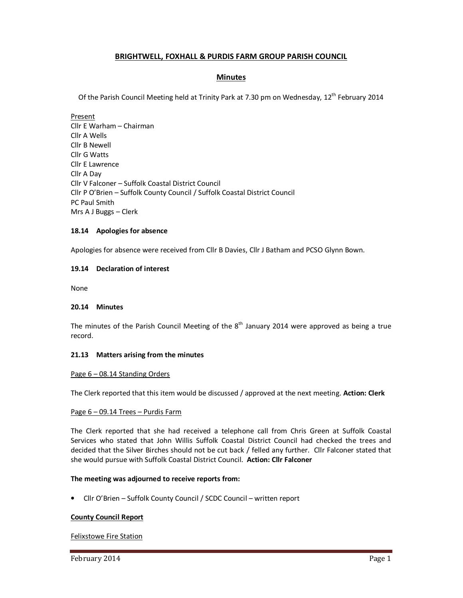# **BRIGHTWELL, FOXHALL & PURDIS FARM GROUP PARISH COUNCIL**

## **Minutes**

Of the Parish Council Meeting held at Trinity Park at 7.30 pm on Wednesday, 12<sup>th</sup> February 2014

Present Cllr E Warham – Chairman Cllr A Wells Cllr B Newell Cllr G Watts Cllr E Lawrence Cllr A Day Cllr V Falconer – Suffolk Coastal District Council Cllr P O'Brien – Suffolk County Council / Suffolk Coastal District Council PC Paul Smith Mrs A J Buggs – Clerk

### **18.14 Apologies for absence**

Apologies for absence were received from Cllr B Davies, Cllr J Batham and PCSO Glynn Bown.

### **19.14 Declaration of interest**

None

#### **20.14 Minutes**

The minutes of the Parish Council Meeting of the  $8<sup>th</sup>$  January 2014 were approved as being a true record.

#### **21.13 Matters arising from the minutes**

#### Page 6 – 08.14 Standing Orders

The Clerk reported that this item would be discussed / approved at the next meeting. **Action: Clerk** 

#### Page 6 – 09.14 Trees – Purdis Farm

The Clerk reported that she had received a telephone call from Chris Green at Suffolk Coastal Services who stated that John Willis Suffolk Coastal District Council had checked the trees and decided that the Silver Birches should not be cut back / felled any further. Cllr Falconer stated that she would pursue with Suffolk Coastal District Council. **Action: Cllr Falconer**

#### **The meeting was adjourned to receive reports from:**

• Cllr O'Brien – Suffolk County Council / SCDC Council – written report

## **County Council Report**

Felixstowe Fire Station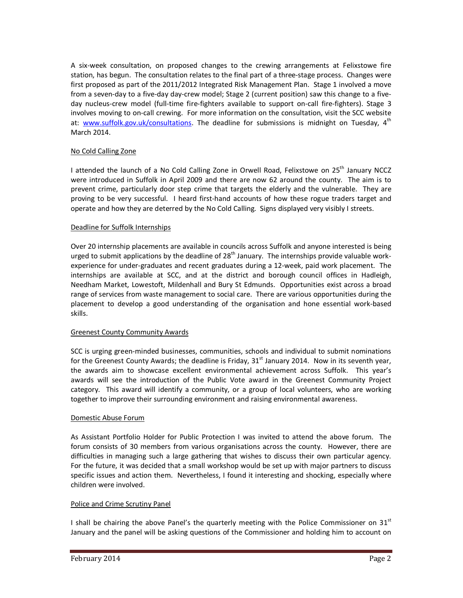A six-week consultation, on proposed changes to the crewing arrangements at Felixstowe fire station, has begun. The consultation relates to the final part of a three-stage process. Changes were first proposed as part of the 2011/2012 Integrated Risk Management Plan. Stage 1 involved a move from a seven-day to a five-day day-crew model; Stage 2 (current position) saw this change to a fiveday nucleus-crew model (full-time fire-fighters available to support on-call fire-fighters). Stage 3 involves moving to on-call crewing. For more information on the consultation, visit the SCC website at: www.suffolk.gov.uk/consultations. The deadline for submissions is midnight on Tuesday, 4<sup>th</sup> March 2014.

### No Cold Calling Zone

I attended the launch of a No Cold Calling Zone in Orwell Road, Felixstowe on 25<sup>th</sup> January NCCZ were introduced in Suffolk in April 2009 and there are now 62 around the county. The aim is to prevent crime, particularly door step crime that targets the elderly and the vulnerable. They are proving to be very successful. I heard first-hand accounts of how these rogue traders target and operate and how they are deterred by the No Cold Calling. Signs displayed very visibly I streets.

#### Deadline for Suffolk Internships

Over 20 internship placements are available in councils across Suffolk and anyone interested is being urged to submit applications by the deadline of  $28<sup>th</sup>$  January. The internships provide valuable workexperience for under-graduates and recent graduates during a 12-week, paid work placement. The internships are available at SCC, and at the district and borough council offices in Hadleigh, Needham Market, Lowestoft, Mildenhall and Bury St Edmunds. Opportunities exist across a broad range of services from waste management to social care. There are various opportunities during the placement to develop a good understanding of the organisation and hone essential work-based skills.

## Greenest County Community Awards

SCC is urging green-minded businesses, communities, schools and individual to submit nominations for the Greenest County Awards; the deadline is Friday, 31<sup>st</sup> January 2014. Now in its seventh year, the awards aim to showcase excellent environmental achievement across Suffolk. This year's awards will see the introduction of the Public Vote award in the Greenest Community Project category. This award will identify a community, or a group of local volunteers, who are working together to improve their surrounding environment and raising environmental awareness.

#### Domestic Abuse Forum

As Assistant Portfolio Holder for Public Protection I was invited to attend the above forum. The forum consists of 30 members from various organisations across the county. However, there are difficulties in managing such a large gathering that wishes to discuss their own particular agency. For the future, it was decided that a small workshop would be set up with major partners to discuss specific issues and action them. Nevertheless, I found it interesting and shocking, especially where children were involved.

#### Police and Crime Scrutiny Panel

I shall be chairing the above Panel's the quarterly meeting with the Police Commissioner on 31 $^{st}$ January and the panel will be asking questions of the Commissioner and holding him to account on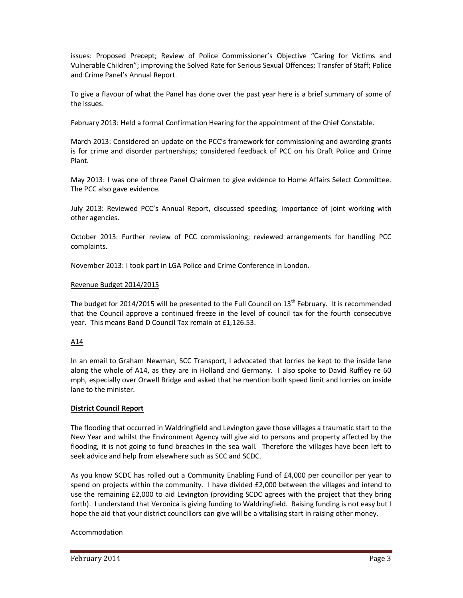issues: Proposed Precept; Review of Police Commissioner's Objective "Caring for Victims and Vulnerable Children"; improving the Solved Rate for Serious Sexual Offences; Transfer of Staff; Police and Crime Panel's Annual Report.

To give a flavour of what the Panel has done over the past year here is a brief summary of some of the issues.

February 2013: Held a formal Confirmation Hearing for the appointment of the Chief Constable.

March 2013: Considered an update on the PCC's framework for commissioning and awarding grants is for crime and disorder partnerships; considered feedback of PCC on his Draft Police and Crime Plant.

May 2013: I was one of three Panel Chairmen to give evidence to Home Affairs Select Committee. The PCC also gave evidence.

July 2013: Reviewed PCC's Annual Report, discussed speeding; importance of joint working with other agencies.

October 2013: Further review of PCC commissioning; reviewed arrangements for handling PCC complaints.

November 2013: I took part in LGA Police and Crime Conference in London.

### Revenue Budget 2014/2015

The budget for 2014/2015 will be presented to the Full Council on  $13<sup>th</sup>$  February. It is recommended that the Council approve a continued freeze in the level of council tax for the fourth consecutive year. This means Band D Council Tax remain at £1,126.53.

## A14

In an email to Graham Newman, SCC Transport, I advocated that lorries be kept to the inside lane along the whole of A14, as they are in Holland and Germany. I also spoke to David Ruffley re 60 mph, especially over Orwell Bridge and asked that he mention both speed limit and lorries on inside lane to the minister.

#### **District Council Report**

The flooding that occurred in Waldringfield and Levington gave those villages a traumatic start to the New Year and whilst the Environment Agency will give aid to persons and property affected by the flooding, it is not going to fund breaches in the sea wall. Therefore the villages have been left to seek advice and help from elsewhere such as SCC and SCDC.

As you know SCDC has rolled out a Community Enabling Fund of £4,000 per councillor per year to spend on projects within the community. I have divided £2,000 between the villages and intend to use the remaining £2,000 to aid Levington (providing SCDC agrees with the project that they bring forth). I understand that Veronica is giving funding to Waldringfield. Raising funding is not easy but I hope the aid that your district councillors can give will be a vitalising start in raising other money.

#### Accommodation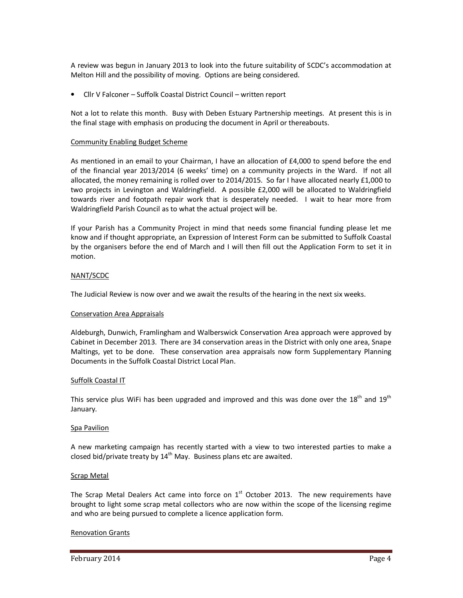A review was begun in January 2013 to look into the future suitability of SCDC's accommodation at Melton Hill and the possibility of moving. Options are being considered.

• Cllr V Falconer – Suffolk Coastal District Council – written report

Not a lot to relate this month. Busy with Deben Estuary Partnership meetings. At present this is in the final stage with emphasis on producing the document in April or thereabouts.

#### Community Enabling Budget Scheme

As mentioned in an email to your Chairman, I have an allocation of £4,000 to spend before the end of the financial year 2013/2014 (6 weeks' time) on a community projects in the Ward. If not all allocated, the money remaining is rolled over to 2014/2015. So far I have allocated nearly £1,000 to two projects in Levington and Waldringfield. A possible £2,000 will be allocated to Waldringfield towards river and footpath repair work that is desperately needed. I wait to hear more from Waldringfield Parish Council as to what the actual project will be.

If your Parish has a Community Project in mind that needs some financial funding please let me know and if thought appropriate, an Expression of Interest Form can be submitted to Suffolk Coastal by the organisers before the end of March and I will then fill out the Application Form to set it in motion.

#### NANT/SCDC

The Judicial Review is now over and we await the results of the hearing in the next six weeks.

#### Conservation Area Appraisals

Aldeburgh, Dunwich, Framlingham and Walberswick Conservation Area approach were approved by Cabinet in December 2013. There are 34 conservation areas in the District with only one area, Snape Maltings, yet to be done. These conservation area appraisals now form Supplementary Planning Documents in the Suffolk Coastal District Local Plan.

#### Suffolk Coastal IT

This service plus WiFi has been upgraded and improved and this was done over the  $18<sup>th</sup>$  and  $19<sup>th</sup>$ January.

#### Spa Pavilion

A new marketing campaign has recently started with a view to two interested parties to make a closed bid/private treaty by  $14<sup>th</sup>$  May. Business plans etc are awaited.

#### **Scrap Metal**

The Scrap Metal Dealers Act came into force on  $1<sup>st</sup>$  October 2013. The new requirements have brought to light some scrap metal collectors who are now within the scope of the licensing regime and who are being pursued to complete a licence application form.

#### Renovation Grants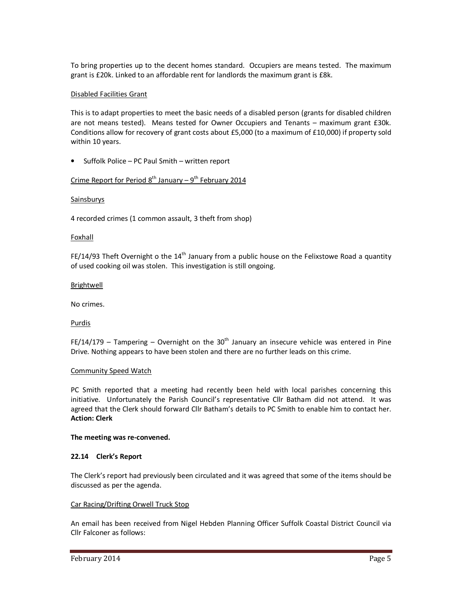To bring properties up to the decent homes standard. Occupiers are means tested. The maximum grant is £20k. Linked to an affordable rent for landlords the maximum grant is £8k.

### Disabled Facilities Grant

This is to adapt properties to meet the basic needs of a disabled person (grants for disabled children are not means tested). Means tested for Owner Occupiers and Tenants – maximum grant £30k. Conditions allow for recovery of grant costs about £5,000 (to a maximum of £10,000) if property sold within 10 years.

• Suffolk Police – PC Paul Smith – written report

# Crime Report for Period  $8^{th}$  January –  $9^{th}$  February 2014

#### Sainsburys

4 recorded crimes (1 common assault, 3 theft from shop)

#### Foxhall

FE/14/93 Theft Overnight o the 14<sup>th</sup> January from a public house on the Felixstowe Road a quantity of used cooking oil was stolen. This investigation is still ongoing.

#### Brightwell

No crimes.

#### Purdis

FE/14/179 – Tampering – Overnight on the 30<sup>th</sup> January an insecure vehicle was entered in Pine Drive. Nothing appears to have been stolen and there are no further leads on this crime.

#### Community Speed Watch

PC Smith reported that a meeting had recently been held with local parishes concerning this initiative. Unfortunately the Parish Council's representative Cllr Batham did not attend. It was agreed that the Clerk should forward Cllr Batham's details to PC Smith to enable him to contact her. **Action: Clerk** 

#### **The meeting was re-convened.**

#### **22.14 Clerk's Report**

The Clerk's report had previously been circulated and it was agreed that some of the items should be discussed as per the agenda.

#### Car Racing/Drifting Orwell Truck Stop

An email has been received from Nigel Hebden Planning Officer Suffolk Coastal District Council via Cllr Falconer as follows: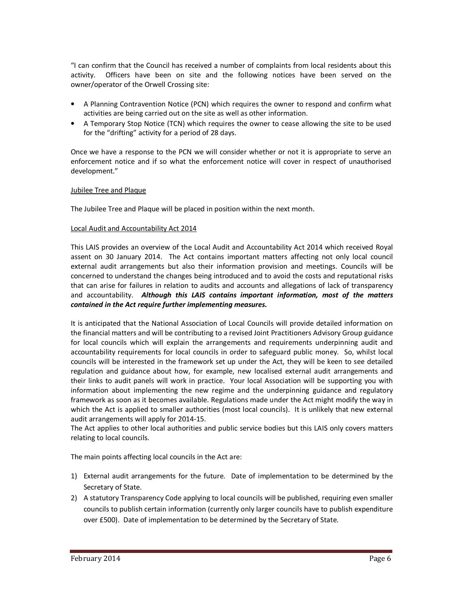"I can confirm that the Council has received a number of complaints from local residents about this activity. Officers have been on site and the following notices have been served on the owner/operator of the Orwell Crossing site:

- A Planning Contravention Notice (PCN) which requires the owner to respond and confirm what activities are being carried out on the site as well as other information.
- A Temporary Stop Notice (TCN) which requires the owner to cease allowing the site to be used for the "drifting" activity for a period of 28 days.

Once we have a response to the PCN we will consider whether or not it is appropriate to serve an enforcement notice and if so what the enforcement notice will cover in respect of unauthorised development."

### Jubilee Tree and Plaque

The Jubilee Tree and Plaque will be placed in position within the next month.

### Local Audit and Accountability Act 2014

This LAIS provides an overview of the Local Audit and Accountability Act 2014 which received Royal assent on 30 January 2014. The Act contains important matters affecting not only local council external audit arrangements but also their information provision and meetings. Councils will be concerned to understand the changes being introduced and to avoid the costs and reputational risks that can arise for failures in relation to audits and accounts and allegations of lack of transparency and accountability. *Although this LAIS contains important information, most of the matters contained in the Act require further implementing measures.*

It is anticipated that the National Association of Local Councils will provide detailed information on the financial matters and will be contributing to a revised Joint Practitioners Advisory Group guidance for local councils which will explain the arrangements and requirements underpinning audit and accountability requirements for local councils in order to safeguard public money. So, whilst local councils will be interested in the framework set up under the Act, they will be keen to see detailed regulation and guidance about how, for example, new localised external audit arrangements and their links to audit panels will work in practice. Your local Association will be supporting you with information about implementing the new regime and the underpinning guidance and regulatory framework as soon as it becomes available. Regulations made under the Act might modify the way in which the Act is applied to smaller authorities (most local councils). It is unlikely that new external audit arrangements will apply for 2014-15.

The Act applies to other local authorities and public service bodies but this LAIS only covers matters relating to local councils.

The main points affecting local councils in the Act are:

- 1) External audit arrangements for the future. Date of implementation to be determined by the Secretary of State.
- 2) A statutory Transparency Code applying to local councils will be published, requiring even smaller councils to publish certain information (currently only larger councils have to publish expenditure over £500). Date of implementation to be determined by the Secretary of State.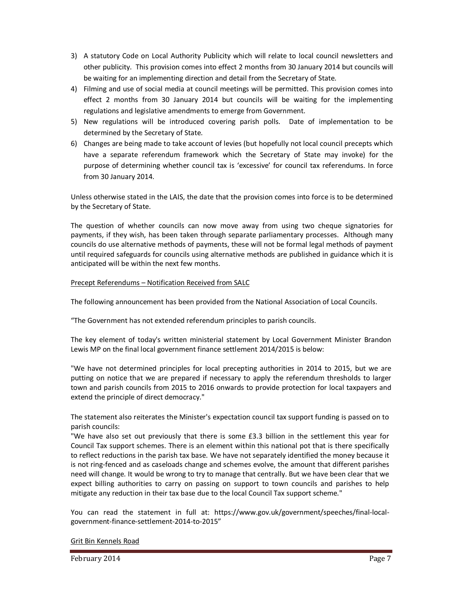- 3) A statutory Code on Local Authority Publicity which will relate to local council newsletters and other publicity. This provision comes into effect 2 months from 30 January 2014 but councils will be waiting for an implementing direction and detail from the Secretary of State.
- 4) Filming and use of social media at council meetings will be permitted. This provision comes into effect 2 months from 30 January 2014 but councils will be waiting for the implementing regulations and legislative amendments to emerge from Government.
- 5) New regulations will be introduced covering parish polls. Date of implementation to be determined by the Secretary of State.
- 6) Changes are being made to take account of levies (but hopefully not local council precepts which have a separate referendum framework which the Secretary of State may invoke) for the purpose of determining whether council tax is 'excessive' for council tax referendums. In force from 30 January 2014.

Unless otherwise stated in the LAIS, the date that the provision comes into force is to be determined by the Secretary of State.

The question of whether councils can now move away from using two cheque signatories for payments, if they wish, has been taken through separate parliamentary processes. Although many councils do use alternative methods of payments, these will not be formal legal methods of payment until required safeguards for councils using alternative methods are published in guidance which it is anticipated will be within the next few months.

### Precept Referendums – Notification Received from SALC

The following announcement has been provided from the National Association of Local Councils.

"The Government has not extended referendum principles to parish councils.

The key element of today's written ministerial statement by Local Government Minister Brandon Lewis MP on the final local government finance settlement 2014/2015 is below:

"We have not determined principles for local precepting authorities in 2014 to 2015, but we are putting on notice that we are prepared if necessary to apply the referendum thresholds to larger town and parish councils from 2015 to 2016 onwards to provide protection for local taxpayers and extend the principle of direct democracy."

The statement also reiterates the Minister's expectation council tax support funding is passed on to parish councils:

"We have also set out previously that there is some £3.3 billion in the settlement this year for Council Tax support schemes. There is an element within this national pot that is there specifically to reflect reductions in the parish tax base. We have not separately identified the money because it is not ring-fenced and as caseloads change and schemes evolve, the amount that different parishes need will change. It would be wrong to try to manage that centrally. But we have been clear that we expect billing authorities to carry on passing on support to town councils and parishes to help mitigate any reduction in their tax base due to the local Council Tax support scheme."

You can read the statement in full at: https://www.gov.uk/government/speeches/final-localgovernment-finance-settlement-2014-to-2015"

#### Grit Bin Kennels Road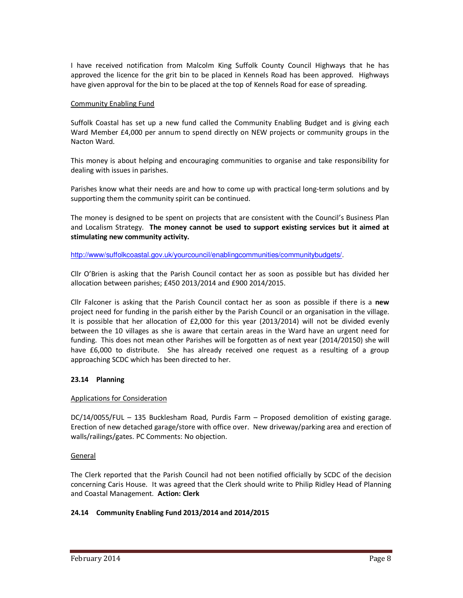I have received notification from Malcolm King Suffolk County Council Highways that he has approved the licence for the grit bin to be placed in Kennels Road has been approved. Highways have given approval for the bin to be placed at the top of Kennels Road for ease of spreading.

### Community Enabling Fund

Suffolk Coastal has set up a new fund called the Community Enabling Budget and is giving each Ward Member £4,000 per annum to spend directly on NEW projects or community groups in the Nacton Ward.

This money is about helping and encouraging communities to organise and take responsibility for dealing with issues in parishes.

Parishes know what their needs are and how to come up with practical long-term solutions and by supporting them the community spirit can be continued.

The money is designed to be spent on projects that are consistent with the Council's Business Plan and Localism Strategy. **The money cannot be used to support existing services but it aimed at stimulating new community activity.** 

http://www/suffolkcoastal.gov.uk/yourcouncil/enablingcommunities/communitybudgets/.

Cllr O'Brien is asking that the Parish Council contact her as soon as possible but has divided her allocation between parishes; £450 2013/2014 and £900 2014/2015.

Cllr Falconer is asking that the Parish Council contact her as soon as possible if there is a **new** project need for funding in the parish either by the Parish Council or an organisation in the village. It is possible that her allocation of £2,000 for this year (2013/2014) will not be divided evenly between the 10 villages as she is aware that certain areas in the Ward have an urgent need for funding. This does not mean other Parishes will be forgotten as of next year (2014/20150) she will have £6,000 to distribute. She has already received one request as a resulting of a group approaching SCDC which has been directed to her.

## **23.14 Planning**

#### Applications for Consideration

DC/14/0055/FUL – 135 Bucklesham Road, Purdis Farm – Proposed demolition of existing garage. Erection of new detached garage/store with office over. New driveway/parking area and erection of walls/railings/gates. PC Comments: No objection.

#### General

The Clerk reported that the Parish Council had not been notified officially by SCDC of the decision concerning Caris House. It was agreed that the Clerk should write to Philip Ridley Head of Planning and Coastal Management. **Action: Clerk** 

## **24.14 Community Enabling Fund 2013/2014 and 2014/2015**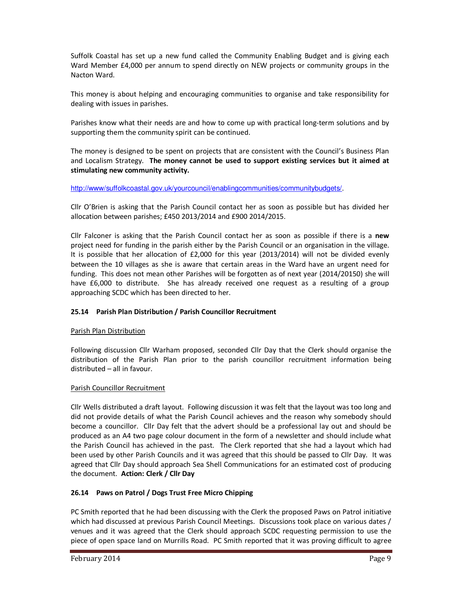Suffolk Coastal has set up a new fund called the Community Enabling Budget and is giving each Ward Member £4,000 per annum to spend directly on NEW projects or community groups in the Nacton Ward.

This money is about helping and encouraging communities to organise and take responsibility for dealing with issues in parishes.

Parishes know what their needs are and how to come up with practical long-term solutions and by supporting them the community spirit can be continued.

The money is designed to be spent on projects that are consistent with the Council's Business Plan and Localism Strategy. **The money cannot be used to support existing services but it aimed at stimulating new community activity.** 

## http://www/suffolkcoastal.gov.uk/yourcouncil/enablingcommunities/communitybudgets/.

Cllr O'Brien is asking that the Parish Council contact her as soon as possible but has divided her allocation between parishes; £450 2013/2014 and £900 2014/2015.

Cllr Falconer is asking that the Parish Council contact her as soon as possible if there is a **new** project need for funding in the parish either by the Parish Council or an organisation in the village. It is possible that her allocation of £2,000 for this year (2013/2014) will not be divided evenly between the 10 villages as she is aware that certain areas in the Ward have an urgent need for funding. This does not mean other Parishes will be forgotten as of next year (2014/20150) she will have £6,000 to distribute. She has already received one request as a resulting of a group approaching SCDC which has been directed to her.

## **25.14 Parish Plan Distribution / Parish Councillor Recruitment**

#### Parish Plan Distribution

Following discussion Cllr Warham proposed, seconded Cllr Day that the Clerk should organise the distribution of the Parish Plan prior to the parish councillor recruitment information being distributed – all in favour.

#### Parish Councillor Recruitment

Cllr Wells distributed a draft layout. Following discussion it was felt that the layout was too long and did not provide details of what the Parish Council achieves and the reason why somebody should become a councillor. Cllr Day felt that the advert should be a professional lay out and should be produced as an A4 two page colour document in the form of a newsletter and should include what the Parish Council has achieved in the past. The Clerk reported that she had a layout which had been used by other Parish Councils and it was agreed that this should be passed to Cllr Day. It was agreed that Cllr Day should approach Sea Shell Communications for an estimated cost of producing the document. **Action: Clerk / Cllr Day** 

## **26.14 Paws on Patrol / Dogs Trust Free Micro Chipping**

PC Smith reported that he had been discussing with the Clerk the proposed Paws on Patrol initiative which had discussed at previous Parish Council Meetings. Discussions took place on various dates / venues and it was agreed that the Clerk should approach SCDC requesting permission to use the piece of open space land on Murrills Road. PC Smith reported that it was proving difficult to agree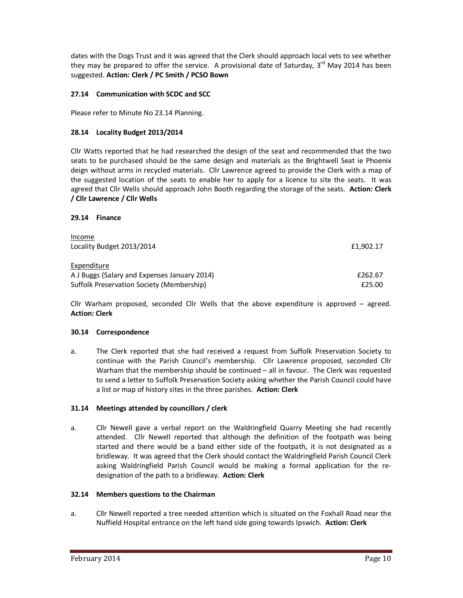dates with the Dogs Trust and it was agreed that the Clerk should approach local vets to see whether they may be prepared to offer the service. A provisional date of Saturday,  $3<sup>rd</sup>$  May 2014 has been suggested. **Action: Clerk / PC Smith / PCSO Bown** 

# **27.14 Communication with SCDC and SCC**

Please refer to Minute No 23.14 Planning.

## **28.14 Locality Budget 2013/2014**

Cllr Watts reported that he had researched the design of the seat and recommended that the two seats to be purchased should be the same design and materials as the Brightwell Seat ie Phoenix deign without arms in recycled materials. Cllr Lawrence agreed to provide the Clerk with a map of the suggested location of the seats to enable her to apply for a licence to site the seats. It was agreed that Cllr Wells should approach John Booth regarding the storage of the seats. **Action: Clerk / Cllr Lawrence / Cllr Wells** 

#### **29.14 Finance**

| Income                                       |           |
|----------------------------------------------|-----------|
| Locality Budget 2013/2014                    | £1,902.17 |
|                                              |           |
| Expenditure                                  |           |
| A J Buggs (Salary and Expenses January 2014) | £262.67   |
| Suffolk Preservation Society (Membership)    | £25.00    |

Cllr Warham proposed, seconded Cllr Wells that the above expenditure is approved – agreed. **Action: Clerk** 

#### **30.14 Correspondence**

a. The Clerk reported that she had received a request from Suffolk Preservation Society to continue with the Parish Council's membership. Cllr Lawrence proposed, seconded Cllr Warham that the membership should be continued – all in favour. The Clerk was requested to send a letter to Suffolk Preservation Society asking whether the Parish Council could have a list or map of history sites in the three parishes. **Action: Clerk** 

## **31.14 Meetings attended by councillors / clerk**

a. Cllr Newell gave a verbal report on the Waldringfield Quarry Meeting she had recently attended. Cllr Newell reported that although the definition of the footpath was being started and there would be a band either side of the footpath, it is not designated as a bridleway. It was agreed that the Clerk should contact the Waldringfield Parish Council Clerk asking Waldringfield Parish Council would be making a formal application for the redesignation of the path to a bridleway. **Action: Clerk** 

#### **32.14 Members questions to the Chairman**

a. Cllr Newell reported a tree needed attention which is situated on the Foxhall Road near the Nuffield Hospital entrance on the left hand side going towards Ipswich. **Action: Clerk**